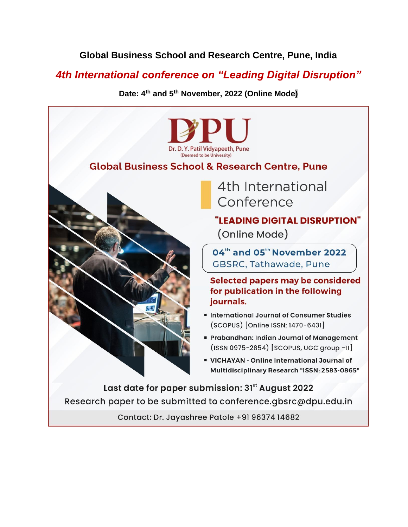## **Global Business School and Research Centre, Pune, India**

# *4th International conference on "Leading Digital Disruption"*

**Date: 4 th and 5th November, 2022 (Online Mode)**



Contact: Dr. Jayashree Patole +91 96374 14682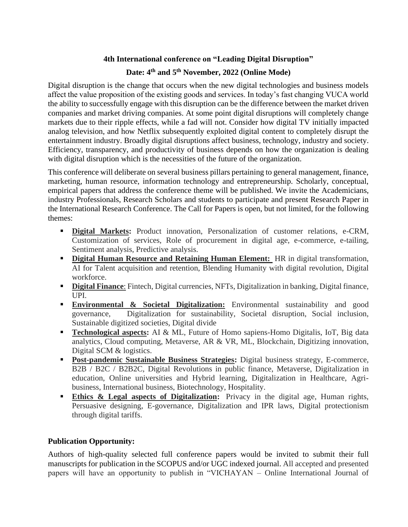### **4th International conference on "Leading Digital Disruption"**

## **Date: 4th and 5th November, 2022 (Online Mode)**

Digital disruption is the change that occurs when the new digital technologies and business models affect the value proposition of the existing goods and services. In today's fast changing VUCA world the ability to successfully engage with this disruption can be the difference between the market driven companies and market driving companies. At some point digital disruptions will completely change markets due to their ripple effects, while a fad will not. Consider how digital TV initially impacted analog television, and how Netflix subsequently exploited digital content to completely disrupt the entertainment industry. Broadly digital disruptions affect business, technology, industry and society. Efficiency, transparency, and productivity of business depends on how the organization is dealing with digital disruption which is the necessities of the future of the organization.

This conference will deliberate on several business pillars pertaining to general management, finance, marketing, human resource, information technology and entrepreneurship. Scholarly, conceptual, empirical papers that address the conference theme will be published. We invite the Academicians, industry Professionals, Research Scholars and students to participate and present Research Paper in the International Research Conference. The Call for Papers is open, but not limited, for the following themes:

- **Exercise 1 Digital Markets:** Product innovation, Personalization of customer relations, e-CRM, Customization of services, Role of procurement in digital age, e-commerce, e-tailing, Sentiment analysis, Predictive analysis.
- **Digital Human Resource and Retaining Human Element:** HR in digital transformation, AI for Talent acquisition and retention, Blending Humanity with digital revolution, Digital workforce.
- **Digital Finance**: Fintech, Digital currencies, NFTs, Digitalization in banking, Digital finance, UPI.
- **Environmental & Societal Digitalization:** Environmental sustainability and good governance, Digitalization for sustainability, Societal disruption, Social inclusion, Sustainable digitized societies, Digital divide
- **Technological aspects:** AI & ML, Future of Homo sapiens-Homo Digitalis, IoT, Big data analytics, Cloud computing, Metaverse, AR & VR, ML, Blockchain, Digitizing innovation, Digital SCM & logistics.
- **Post-pandemic Sustainable Business Strategies:** Digital business strategy, E-commerce, B2B / B2C / B2B2C, Digital Revolutions in public finance, Metaverse, Digitalization in education, Online universities and Hybrid learning, Digitalization in Healthcare, Agribusiness, International business, Biotechnology, Hospitality.
- **Ethics & Legal aspects of Digitalization:** Privacy in the digital age, Human rights, Persuasive designing, E-governance, Digitalization and IPR laws, Digital protectionism through digital tariffs.

### **Publication Opportunity:**

Authors of high-quality selected full conference papers would be invited to submit their full manuscripts for publication in the SCOPUS and/or UGC indexed journal. All accepted and presented papers will have an opportunity to publish in "VICHAYAN – Online International Journal of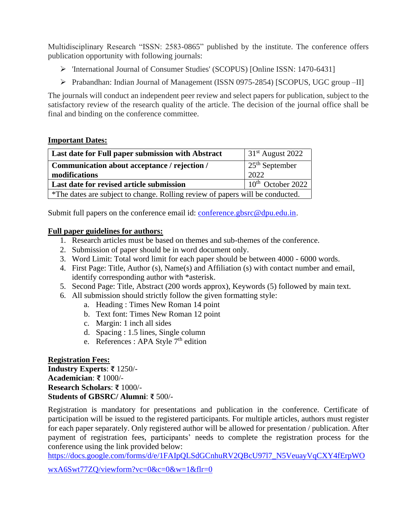Multidisciplinary Research "ISSN: 2583-0865" published by the institute. The conference offers publication opportunity with following journals:

- ➢ 'International Journal of Consumer Studies' (SCOPUS) [Online ISSN: 1470-6431]
- ➢ Prabandhan: Indian Journal of Management (ISSN 0975-2854) [SCOPUS, UGC group –II]

The journals will conduct an independent peer review and select papers for publication, subject to the satisfactory review of the research quality of the article. The decision of the journal office shall be final and binding on the conference committee.

#### **Important Dates:**

| Last date for Full paper submission with Abstract                             | $31st$ August 2022                     |
|-------------------------------------------------------------------------------|----------------------------------------|
| Communication about acceptance / rejection /                                  | $\frac{1}{25}$ <sup>th</sup> September |
| modifications                                                                 | 2022                                   |
| Last date for revised article submission                                      | $10th$ October 2022                    |
| *The dates are subject to change. Rolling review of papers will be conducted. |                                        |

Submit full papers on the conference email id: [conference.gbsrc@dpu.edu.in.](mailto:conference.gbsrc@dpu.edu.in)

### **Full paper guidelines for authors:**

- 1. Research articles must be based on themes and sub-themes of the conference.
- 2. Submission of paper should be in word document only.
- 3. Word Limit: Total word limit for each paper should be between 4000 6000 words.
- 4. First Page: Title, Author (s), Name(s) and Affiliation (s) with contact number and email, identify corresponding author with \*asterisk.
- 5. Second Page: Title, Abstract (200 words approx), Keywords (5) followed by main text.
- 6. All submission should strictly follow the given formatting style:
	- a. Heading : Times New Roman 14 point
	- b. Text font: Times New Roman 12 point
	- c. Margin: 1 inch all sides
	- d. Spacing : 1.5 lines, Single column
	- e. References : APA Style 7<sup>th</sup> edition

**Registration Fees: Industry Experts**: **₹** 1250/- **Academician**: **₹** 1000/- **Research Scholars**: **₹** 1000/- **Students of GBSRC/ Alumni**: **₹** 500/-

Registration is mandatory for presentations and publication in the conference. Certificate of participation will be issued to the registered participants. For multiple articles, authors must register for each paper separately. Only registered author will be allowed for presentation / publication. After payment of registration fees, participants' needs to complete the registration process for the conference using the link provided below:

[https://docs.google.com/forms/d/e/1FAIpQLSdGCnhuRV2QBcU97l7\\_N5VeuayVqCXY4fErpWO](https://docs.google.com/forms/d/e/1FAIpQLSdGCnhuRV2QBcU97l7_N5VeuayVqCXY4fErpWOwxA6Swt77ZQ/viewform?vc=0&c=0&w=1&flr=0)

[wxA6Swt77ZQ/viewform?vc=0&c=0&w=1&flr=0](https://docs.google.com/forms/d/e/1FAIpQLSdGCnhuRV2QBcU97l7_N5VeuayVqCXY4fErpWOwxA6Swt77ZQ/viewform?vc=0&c=0&w=1&flr=0)